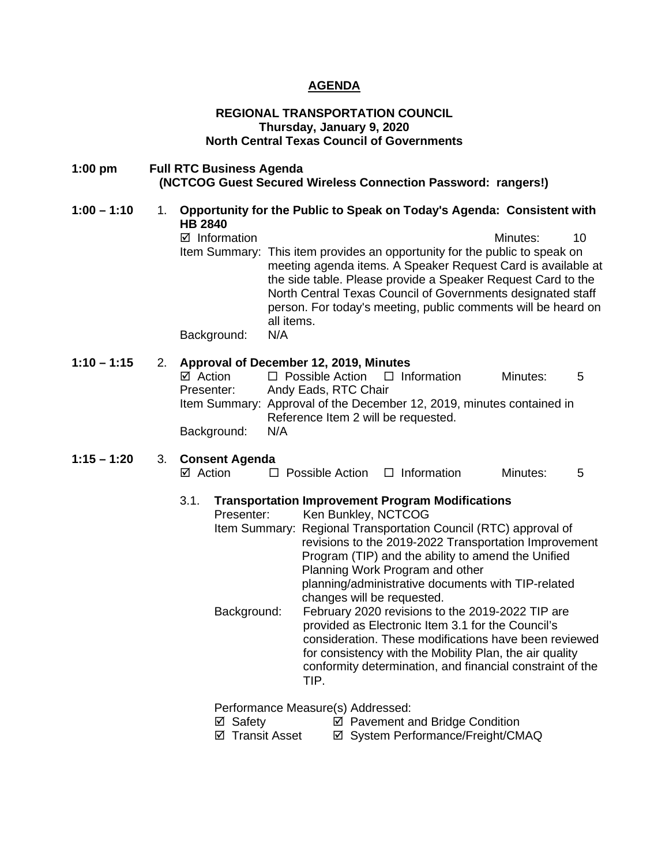## **AGENDA**

## **REGIONAL TRANSPORTATION COUNCIL Thursday, January 9, 2020 North Central Texas Council of Governments**

## **1:00 pm Full RTC Business Agenda (NCTCOG Guest Secured Wireless Connection Password: rangers!)**

## **1:00 – 1:10** 1. **Opportunity for the Public to Speak on Today's Agenda: Consistent with HB 2840**  Information Minutes: 10 Item Summary: This item provides an opportunity for the public to speak on meeting agenda items. A Speaker Request Card is available at the side table. Please provide a Speaker Request Card to the North Central Texas Council of Governments designated staff person. For today's meeting, public comments will be heard on all items. Background: N/A

## **1:10 – 1:15** 2. **Approval of December 12, 2019, Minutes**

| ⊠ Action    | $\Box$ Possible Action $\Box$ Information                             |  | Minutes: | .5 |  |  |
|-------------|-----------------------------------------------------------------------|--|----------|----|--|--|
| Presenter:  | Andy Eads, RTC Chair                                                  |  |          |    |  |  |
|             | Item Summary: Approval of the December 12, 2019, minutes contained in |  |          |    |  |  |
|             | Reference Item 2 will be requested.                                   |  |          |    |  |  |
| Background: | N/A                                                                   |  |          |    |  |  |

## **1:15 – 1:20** 3. **Consent Agenda**

## Action Possible Action Information Minutes: 5

# 3.1. **Transportation Improvement Program Modifications**

Ken Bunkley, NCTCOG Item Summary: Regional Transportation Council (RTC) approval of revisions to the 2019-2022 Transportation Improvement Program (TIP) and the ability to amend the Unified Planning Work Program and other planning/administrative documents with TIP-related changes will be requested. Background: February 2020 revisions to the 2019-2022 TIP are provided as Electronic Item 3.1 for the Council's consideration. These modifications have been reviewed for consistency with the Mobility Plan, the air quality conformity determination, and financial constraint of the

TIP.

Performance Measure(s) Addressed:

- 
- **Ø** Safety *D* Pavement and Bridge Condition<br>**Ø** Svstem Performance/Freight/CM **Ø System Performance/Freight/CMAQ**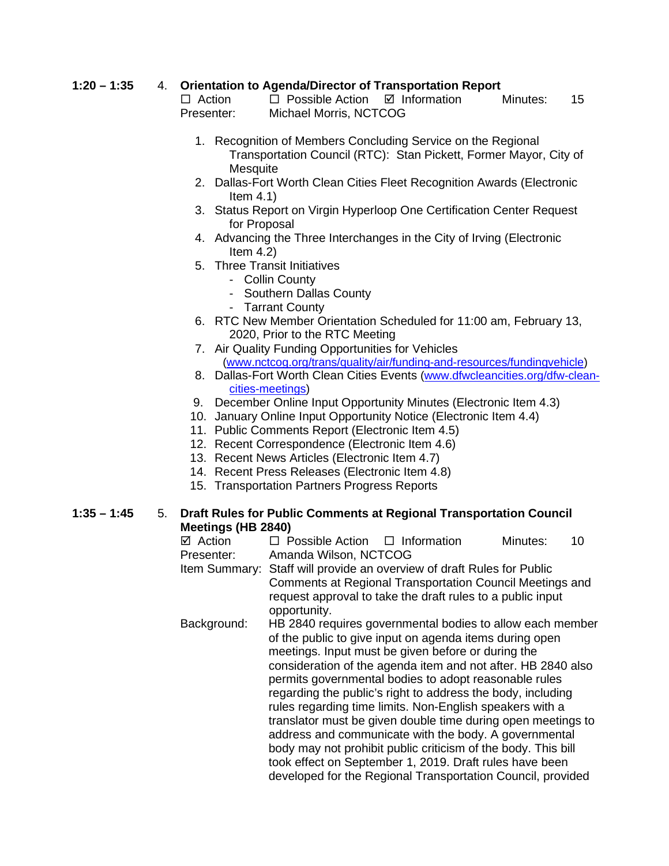## **1:20 – 1:35** 4. **Orientation to Agenda/Director of Transportation Report**

 $\Box$  Action  $\Box$  Possible Action  $\Box$  Information Minutes: 15 Presenter: Michael Morris, NCTCOG

- 1. Recognition of Members Concluding Service on the Regional Transportation Council (RTC): Stan Pickett, Former Mayor, City of **Mesquite**
- 2. Dallas-Fort Worth Clean Cities Fleet Recognition Awards (Electronic Item 4.1)
- 3. Status Report on Virgin Hyperloop One Certification Center Request for Proposal
- 4. Advancing the Three Interchanges in the City of Irving (Electronic Item  $4.2$ )
- 5. Three Transit Initiatives
	- Collin County
	- Southern Dallas County
	- Tarrant County
- 6. RTC New Member Orientation Scheduled for 11:00 am, February 13, 2020, Prior to the RTC Meeting
- 7. Air Quality Funding Opportunities for Vehicles [\(www.nctcog.org/trans/quality/air/funding-and-resources/fundingvehicle\)](http://www.nctcog.org/trans/quality/air/funding-and-resources/fundingvehicle)
- 8. Dallas-Fort Worth Clean Cities Events [\(www.dfwcleancities.org/dfw-clean](http://www.dfwcleancities.org/dfw-clean-cities-meetings)[cities-meetings\)](http://www.dfwcleancities.org/dfw-clean-cities-meetings)
- 9. December Online Input Opportunity Minutes (Electronic Item 4.3)
- 10. January Online Input Opportunity Notice (Electronic Item 4.4)
- 11. Public Comments Report (Electronic Item 4.5)
- 12. Recent Correspondence (Electronic Item 4.6)
- 13. Recent News Articles (Electronic Item 4.7)
- 14. Recent Press Releases (Electronic Item 4.8)
- 15. Transportation Partners Progress Reports

## **1:35 – 1:45** 5. **Draft Rules for Public Comments at Regional Transportation Council Meetings (HB 2840)**<br>☑ Action □ P

 $\Box$  Possible Action  $\Box$  Information Minutes: 10 Presenter: Amanda Wilson, NCTCOG Item Summary: Staff will provide an overview of draft Rules for Public Comments at Regional Transportation Council Meetings and request approval to take the draft rules to a public input opportunity. Background: HB 2840 requires governmental bodies to allow each member of the public to give input on agenda items during open meetings. Input must be given before or during the consideration of the agenda item and not after. HB 2840 also permits governmental bodies to adopt reasonable rules regarding the public's right to address the body, including rules regarding time limits. Non-English speakers with a translator must be given double time during open meetings to address and communicate with the body. A governmental body may not prohibit public criticism of the body. This bill took effect on September 1, 2019. Draft rules have been developed for the Regional Transportation Council, provided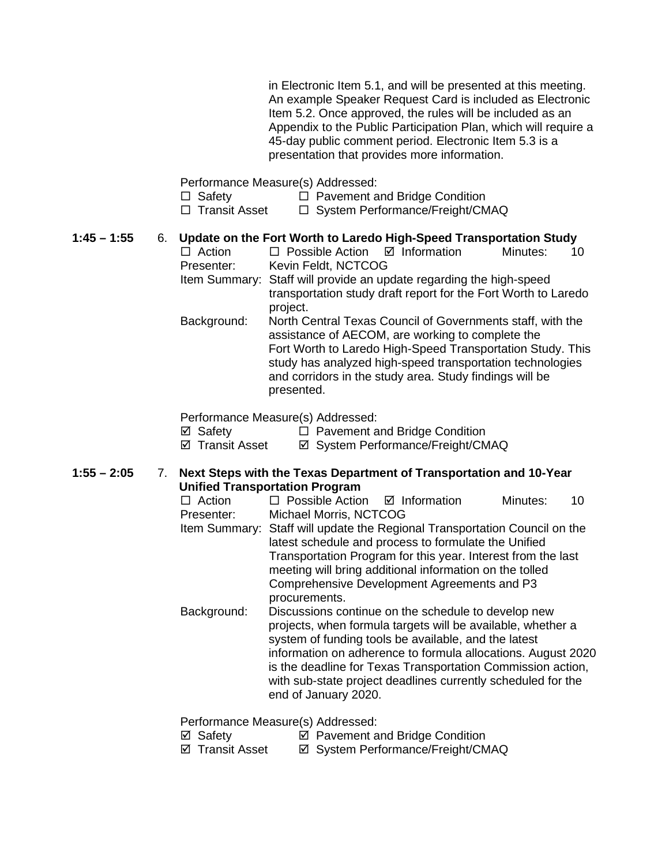in Electronic Item 5.1, and will be presented at this meeting. An example Speaker Request Card is included as Electronic Item 5.2. Once approved, the rules will be included as an Appendix to the Public Participation Plan, which will require a 45-day public comment period. Electronic Item 5.3 is a presentation that provides more information.

Performance Measure(s) Addressed:

- □ Safety □ Pavement and Bridge Condition
- $\Box$  Transit Asset  $\Box$  System Performance/Freight/CMAQ

# **1:45 – 1:55** 6. **Update on the Fort Worth to Laredo High-Speed Transportation Study**

- $\Box$  Possible Action  $\Box$  Information Presenter: Kevin Feldt, NCTCOG Item Summary: Staff will provide an update regarding the high-speed
- transportation study draft report for the Fort Worth to Laredo project.
- Background: North Central Texas Council of Governments staff, with the assistance of AECOM, are working to complete the Fort Worth to Laredo High-Speed Transportation Study. This study has analyzed high-speed transportation technologies and corridors in the study area. Study findings will be presented.

Performance Measure(s) Addressed:

 $\boxtimes$  Safety  $\Box$  Pavement and Bridge Condition

⊠ Transit Asset <br> **EX System Performance/Freight/CMAQ** 

## **1:55 – 2:05** 7. **Next Steps with the Texas Department of Transportation and 10-Year Unified Transportation Program**

- $\Box$  Action  $\Box$  Possible Action  $\Box$  Information Minutes: 10 Presenter: Michael Morris, NCTCOG Item Summary: Staff will update the Regional Transportation Council on the latest schedule and process to formulate the Unified Transportation Program for this year. Interest from the last meeting will bring additional information on the tolled Comprehensive Development Agreements and P3 procurements. Background: Discussions continue on the schedule to develop new
- projects, when formula targets will be available, whether a system of funding tools be available, and the latest information on adherence to formula allocations. August 2020 is the deadline for Texas Transportation Commission action, with sub-state project deadlines currently scheduled for the end of January 2020.

Performance Measure(s) Addressed:

|  | ⊠ Safety |  | ☑ Pavement and Bridge Condition |
|--|----------|--|---------------------------------|
|--|----------|--|---------------------------------|

 $\boxtimes$  **Transit Asset**  $\boxtimes$  System Performance/Freight/CMAQ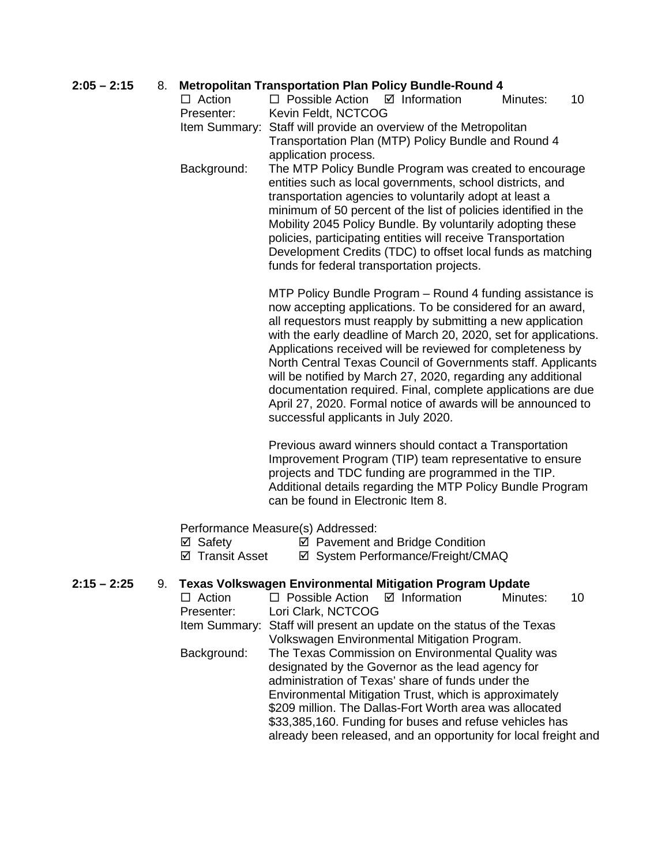## **2:05 – 2:15** 8. **Metropolitan Transportation Plan Policy Bundle-Round 4**

| $\Box$ Action | $\Box$ Possible Action $\Box$ Information                        |                                                     | Minutes: | 10. |  |  |
|---------------|------------------------------------------------------------------|-----------------------------------------------------|----------|-----|--|--|
| Presenter:    | Kevin Feldt, NCTCOG                                              |                                                     |          |     |  |  |
|               | Item Summary: Staff will provide an overview of the Metropolitan |                                                     |          |     |  |  |
|               |                                                                  | Transportation Plan (MTP) Policy Bundle and Round 4 |          |     |  |  |
|               | application process.                                             |                                                     |          |     |  |  |

Background: The MTP Policy Bundle Program was created to encourage entities such as local governments, school districts, and transportation agencies to voluntarily adopt at least a minimum of 50 percent of the list of policies identified in the Mobility 2045 Policy Bundle. By voluntarily adopting these policies, participating entities will receive Transportation Development Credits (TDC) to offset local funds as matching funds for federal transportation projects.

> MTP Policy Bundle Program – Round 4 funding assistance is now accepting applications. To be considered for an award, all requestors must reapply by submitting a new application with the early deadline of March 20, 2020, set for applications. Applications received will be reviewed for completeness by North Central Texas Council of Governments staff. Applicants will be notified by March 27, 2020, regarding any additional documentation required. Final, complete applications are due April 27, 2020. Formal notice of awards will be announced to successful applicants in July 2020.

Previous award winners should contact a Transportation Improvement Program (TIP) team representative to ensure projects and TDC funding are programmed in the TIP. Additional details regarding the MTP Policy Bundle Program can be found in Electronic Item 8.

already been released, and an opportunity for local freight and

Performance Measure(s) Addressed:

- $\boxtimes$  Safety  $\boxtimes$  Pavement and Bridge Condition
- **Ø Transit Asset Ø System Performance/Freight/CMAQ**

## **2:15 – 2:25** 9. **Texas Volkswagen Environmental Mitigation Program Update**

 $\Box$  Action  $\Box$  Possible Action  $\Box$  Information Minutes: 10 Presenter: Lori Clark, NCTCOG Item Summary: Staff will present an update on the status of the Texas Volkswagen Environmental Mitigation Program. Background: The Texas Commission on Environmental Quality was designated by the Governor as the lead agency for administration of Texas' share of funds under the Environmental Mitigation Trust, which is approximately \$209 million. The Dallas-Fort Worth area was allocated \$33,385,160. Funding for buses and refuse vehicles has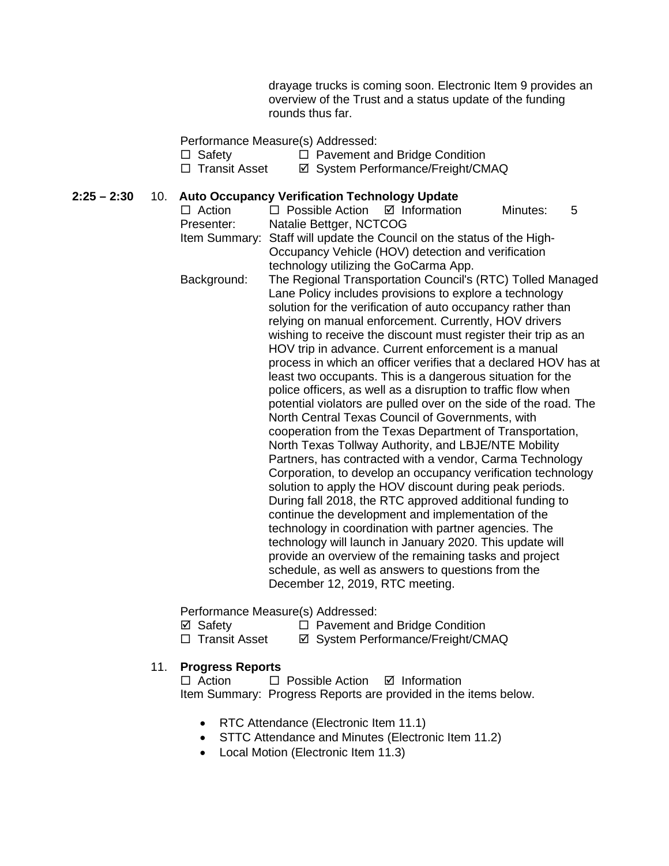drayage trucks is coming soon. Electronic Item 9 provides an overview of the Trust and a status update of the funding rounds thus far.

## Performance Measure(s) Addressed:

- □ Safety □ Pavement and Bridge Condition<br>□ Transit Asset □ Svstem Performance/Freight/CM
- **Ø System Performance/Freight/CMAQ**

## **2:25 – 2:30** 10. **Auto Occupancy Verification Technology Update**

 $\Box$  Action  $\Box$  Possible Action  $\Box$  Information Minutes: 5<br>Presenter: Natalie Bettger. NCTCOG Natalie Bettger, NCTCOG Item Summary: Staff will update the Council on the status of the High-Occupancy Vehicle (HOV) detection and verification technology utilizing the GoCarma App. Background: The Regional Transportation Council's (RTC) Tolled Managed Lane Policy includes provisions to explore a technology solution for the verification of auto occupancy rather than relying on manual enforcement. Currently, HOV drivers wishing to receive the discount must register their trip as an HOV trip in advance. Current enforcement is a manual process in which an officer verifies that a declared HOV has at least two occupants. This is a dangerous situation for the police officers, as well as a disruption to traffic flow when potential violators are pulled over on the side of the road. The North Central Texas Council of Governments, with cooperation from the Texas Department of Transportation, North Texas Tollway Authority, and LBJE/NTE Mobility Partners, has contracted with a vendor, Carma Technology Corporation, to develop an occupancy verification technology solution to apply the HOV discount during peak periods. During fall 2018, the RTC approved additional funding to continue the development and implementation of the technology in coordination with partner agencies. The technology will launch in January 2020. This update will provide an overview of the remaining tasks and project schedule, as well as answers to questions from the December 12, 2019, RTC meeting.

Performance Measure(s) Addressed:

 $\boxtimes$  **Safety D** Pavement and Bridge Condition<br> **D** Transit Asset **D** System Performance/Freight/CM **Ø System Performance/Freight/CMAQ** 

## 11. **Progress Reports**

 $\Box$  Action  $\Box$  Possible Action  $\Box$  Information Item Summary: Progress Reports are provided in the items below.

- RTC Attendance (Electronic Item 11.1)
- STTC Attendance and Minutes (Electronic Item 11.2)
- Local Motion (Electronic Item 11.3)